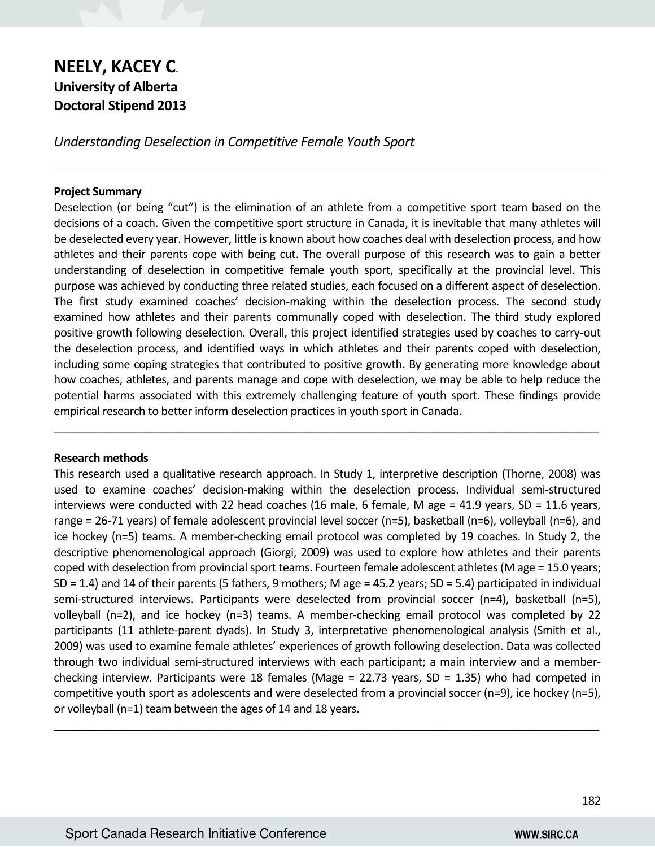# **NEELY, KACEY C**. **University of Alberta Doctoral Stipend 2013**

*Understanding Deselection in Competitive Female Youth Sport*

# **Project Summary**

Deselection (or being "cut") is the elimination of an athlete from a competitive sport team based on the decisions of a coach. Given the competitive sport structure in Canada, it is inevitable that many athletes will be deselected every year. However, little is known about how coaches deal with deselection process, and how athletes and their parents cope with being cut. The overall purpose of this research was to gain a better understanding of deselection in competitive female youth sport, specifically at the provincial level. This purpose was achieved by conducting three related studies, each focused on a different aspect of deselection. The first study examined coaches' decision-making within the deselection process. The second study examined how athletes and their parents communally coped with deselection. The third study explored positive growth following deselection. Overall, this project identified strategies used by coaches to carry-out the deselection process, and identified ways in which athletes and their parents coped with deselection, including some coping strategies that contributed to positive growth. By generating more knowledge about how coaches, athletes, and parents manage and cope with deselection, we may be able to help reduce the potential harms associated with this extremely challenging feature of youth sport. These findings provide empirical research to better inform deselection practices in youth sport in Canada.

 $\_$  , and the set of the set of the set of the set of the set of the set of the set of the set of the set of the set of the set of the set of the set of the set of the set of the set of the set of the set of the set of th

# **Research methods**

This research used a qualitative research approach. In Study 1, interpretive description (Thorne, 2008) was used to examine coaches' decision-making within the deselection process. Individual semi-structured interviews were conducted with 22 head coaches (16 male, 6 female, M age = 41.9 years, SD = 11.6 years, range = 26-71 years) of female adolescent provincial level soccer (n=5), basketball (n=6), volleyball (n=6), and ice hockey (n=5) teams. A member-checking email protocol was completed by 19 coaches. In Study 2, the descriptive phenomenological approach (Giorgi, 2009) was used to explore how athletes and their parents coped with deselection from provincial sport teams. Fourteen female adolescent athletes (M age = 15.0 years; SD = 1.4) and 14 of their parents (5 fathers, 9 mothers; M age = 45.2 years; SD = 5.4) participated in individual semi-structured interviews. Participants were deselected from provincial soccer (n=4), basketball (n=5), volleyball (n=2), and ice hockey (n=3) teams. A member-checking email protocol was completed by 22 participants (11 athlete-parent dyads). In Study 3, interpretative phenomenological analysis (Smith et al., 2009) was used to examine female athletes' experiences of growth following deselection. Data was collected through two individual semi-structured interviews with each participant; a main interview and a memberchecking interview. Participants were 18 females (Mage = 22.73 years, SD = 1.35) who had competed in competitive youth sport as adolescents and were deselected from a provincial soccer (n=9), ice hockey (n=5), or volleyball (n=1) team between the ages of 14 and 18 years.

 $\_$  , and the set of the set of the set of the set of the set of the set of the set of the set of the set of the set of the set of the set of the set of the set of the set of the set of the set of the set of the set of th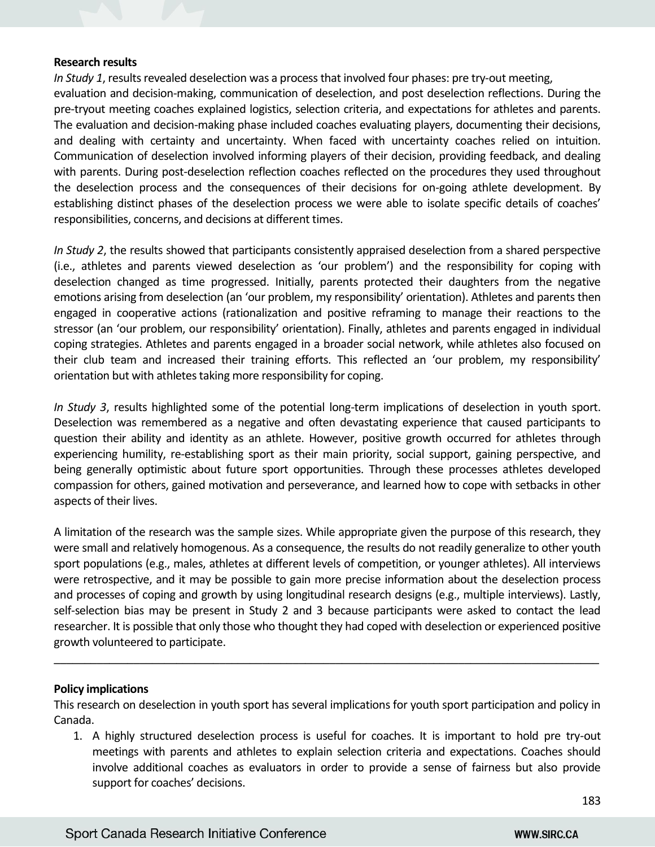### **Research results**

*In Study 1*, results revealed deselection was a process that involved four phases: pre try-out meeting, evaluation and decision-making, communication of deselection, and post deselection reflections. During the pre-tryout meeting coaches explained logistics, selection criteria, and expectations for athletes and parents. The evaluation and decision-making phase included coaches evaluating players, documenting their decisions, and dealing with certainty and uncertainty. When faced with uncertainty coaches relied on intuition. Communication of deselection involved informing players of their decision, providing feedback, and dealing with parents. During post-deselection reflection coaches reflected on the procedures they used throughout the deselection process and the consequences of their decisions for on-going athlete development. By establishing distinct phases of the deselection process we were able to isolate specific details of coaches' responsibilities, concerns, and decisions at different times.

*In Study 2*, the results showed that participants consistently appraised deselection from a shared perspective (i.e., athletes and parents viewed deselection as 'our problem') and the responsibility for coping with deselection changed as time progressed. Initially, parents protected their daughters from the negative emotions arising from deselection (an 'our problem, my responsibility' orientation). Athletes and parents then engaged in cooperative actions (rationalization and positive reframing to manage their reactions to the stressor (an 'our problem, our responsibility' orientation). Finally, athletes and parents engaged in individual coping strategies. Athletes and parents engaged in a broader social network, while athletes also focused on their club team and increased their training efforts. This reflected an 'our problem, my responsibility' orientation but with athletes taking more responsibility for coping.

*In Study 3*, results highlighted some of the potential long-term implications of deselection in youth sport. Deselection was remembered as a negative and often devastating experience that caused participants to question their ability and identity as an athlete. However, positive growth occurred for athletes through experiencing humility, re-establishing sport as their main priority, social support, gaining perspective, and being generally optimistic about future sport opportunities. Through these processes athletes developed compassion for others, gained motivation and perseverance, and learned how to cope with setbacks in other aspects of their lives.

A limitation of the research was the sample sizes. While appropriate given the purpose of this research, they were small and relatively homogenous. As a consequence, the results do not readily generalize to other youth sport populations (e.g., males, athletes at different levels of competition, or younger athletes). All interviews were retrospective, and it may be possible to gain more precise information about the deselection process and processes of coping and growth by using longitudinal research designs (e.g., multiple interviews). Lastly, self-selection bias may be present in Study 2 and 3 because participants were asked to contact the lead researcher. It is possible that only those who thought they had coped with deselection or experienced positive growth volunteered to participate.

# **Policy implications**

This research on deselection in youth sport has several implications for youth sport participation and policy in Canada.

\_\_\_\_\_\_\_\_\_\_\_\_\_\_\_\_\_\_\_\_\_\_\_\_\_\_\_\_\_\_\_\_\_\_\_\_\_\_\_\_\_\_\_\_\_\_\_\_\_\_\_\_\_\_\_\_\_\_\_\_\_\_\_\_\_\_\_\_\_\_\_\_\_\_\_\_\_\_\_\_\_\_\_\_\_\_\_\_\_

1. A highly structured deselection process is useful for coaches. It is important to hold pre try-out meetings with parents and athletes to explain selection criteria and expectations. Coaches should involve additional coaches as evaluators in order to provide a sense of fairness but also provide support for coaches' decisions.